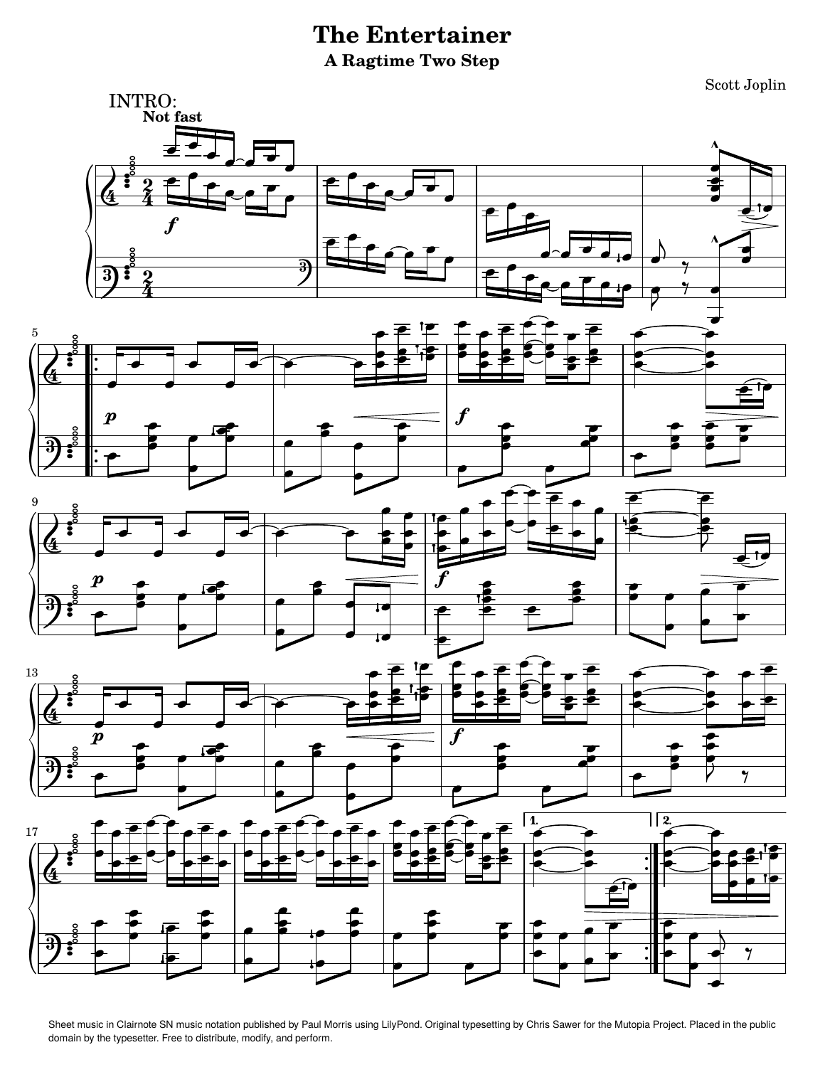**The Entertainer A Ragtime Two Step**

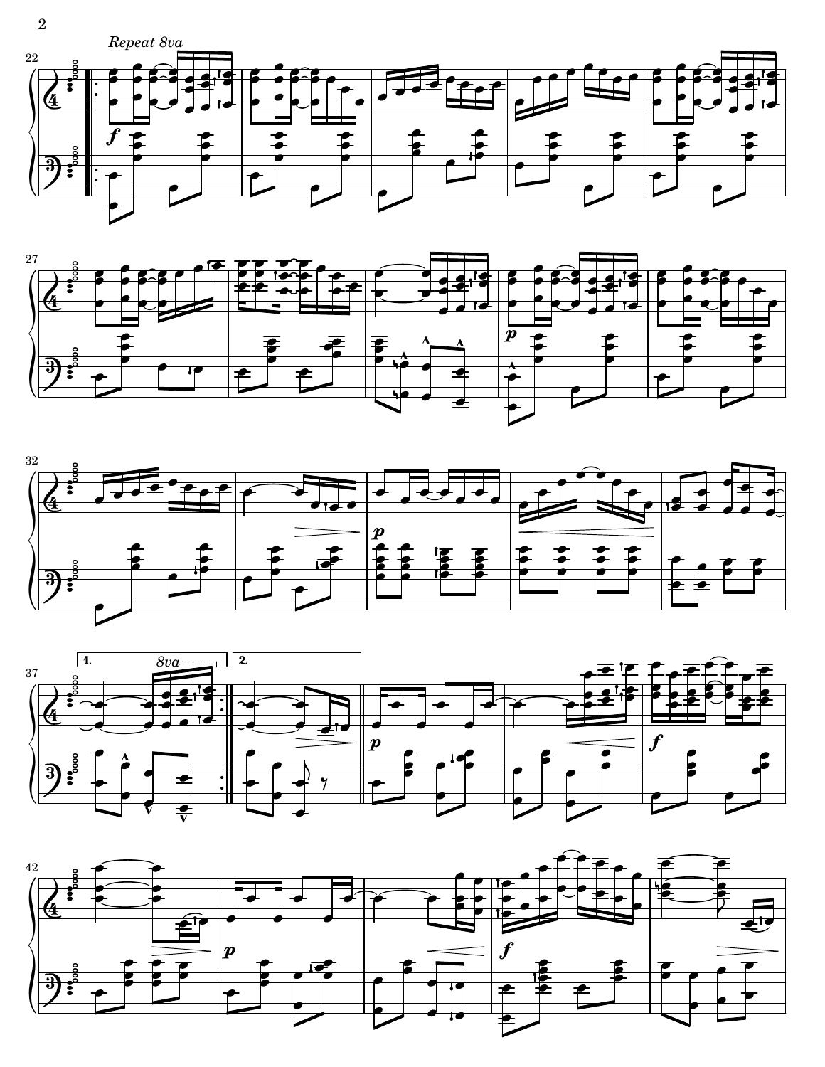







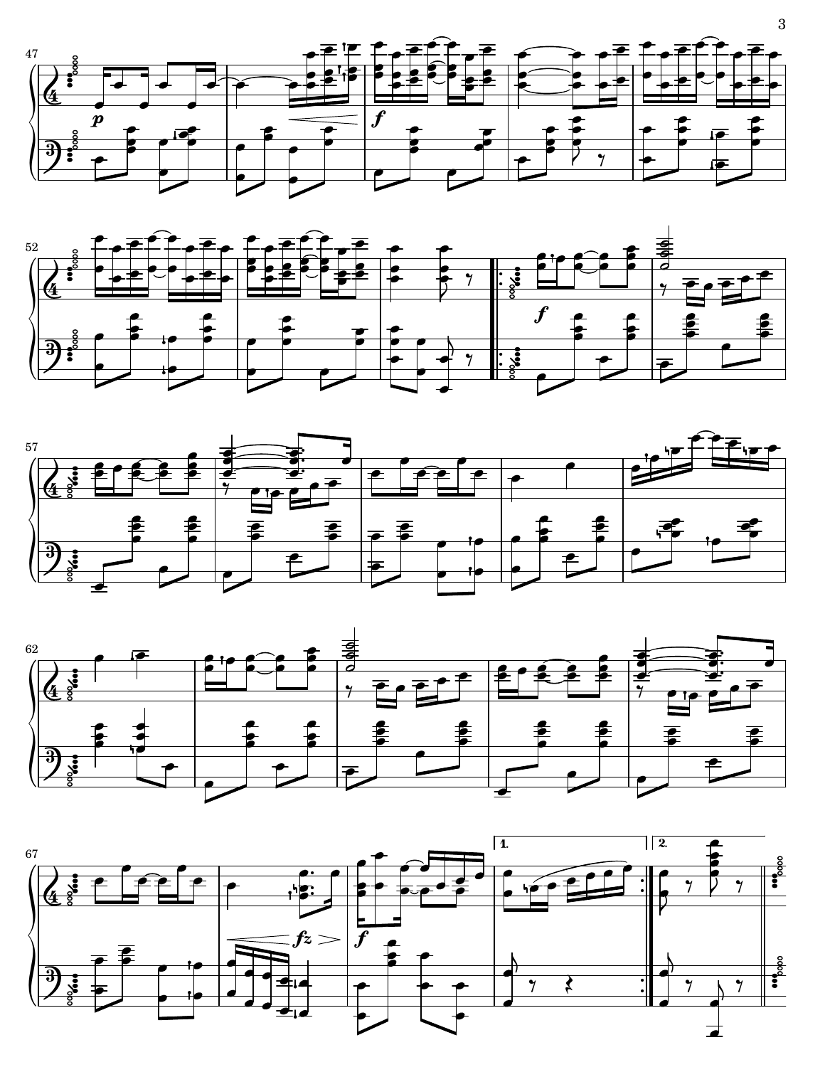